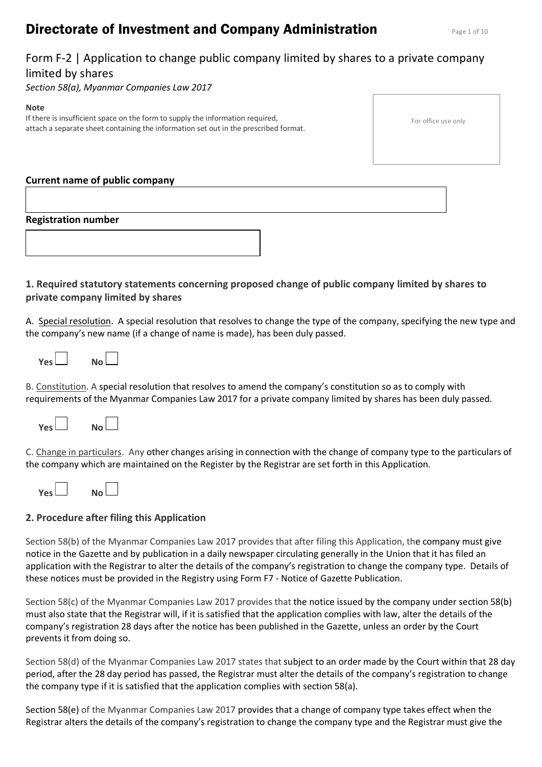# **Directorate of Investment and Company Administration** Page 1 of 10

# Form F-2 | Application to change public company limited by shares to a private company limited by shares

*Section 58(a), Myanmar Companies Law 2017*

#### **Note**

If there is insufficient space on the form to supply the information required, attach a separate sheet containing the information set out in the prescribed format.

## **Current name of public company**

# **Registration number**

# **1. Required statutory statements concerning proposed change of public company limited by shares to private company limited by shares**

A. Special resolution. A special resolution that resolves to change the type of the company, specifying the new type and the company's new name (if a change of name is made), has been duly passed.

| No L<br>Vesl |  |
|--------------|--|
|--------------|--|

B. Constitution. A special resolution that resolves to amend the company's constitution so as to comply with requirements of the Myanmar Companies Law 2017 for a private company limited by shares has been duly passed.



C. Change in particulars. Any other changes arising in connection with the change of company type to the particulars of the company which are maintained on the Register by the Registrar are set forth in this Application.

| <b>Yes</b> |  | No l |  |
|------------|--|------|--|
|            |  |      |  |

# **2. Procedure after filing this Application**

Section 58(b) of the Myanmar Companies Law 2017 provides that after filing this Application, the company must give notice in the Gazette and by publication in a daily newspaper circulating generally in the Union that it has filed an application with the Registrar to alter the details of the company's registration to change the company type. Details of these notices must be provided in the Registry using Form F7 - Notice of Gazette Publication.

Section 58(c) of the Myanmar Companies Law 2017 provides that the notice issued by the company under section 58(b) must also state that the Registrar will, if it is satisfied that the application complies with law, alter the details of the company's registration 28 days after the notice has been published in the Gazette, unless an order by the Court prevents it from doing so.

Section 58(d) of the Myanmar Companies Law 2017 states that subject to an order made by the Court within that 28 day period, after the 28 day period has passed, the Registrar must alter the details of the company's registration to change the company type if it is satisfied that the application complies with section 58(a).

Section 58(e) of the Myanmar Companies Law 2017 provides that a change of company type takes effect when the Registrar alters the details of the company's registration to change the company type and the Registrar must give the

|  | For office use only |  |  |  |
|--|---------------------|--|--|--|
|--|---------------------|--|--|--|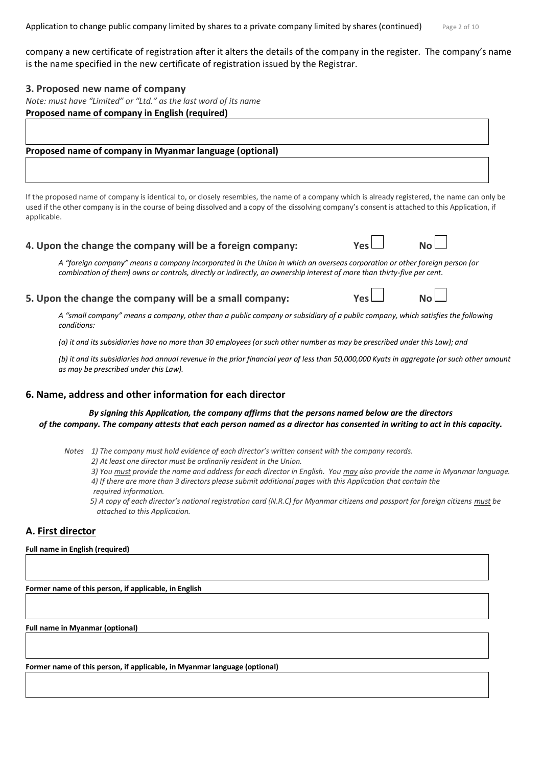Application to change public company limited by shares to a private company limited by shares (continued)  $P_{\text{BEC 2 of 10}}$ 

company a new certificate of registration after it alters the details of the company in the register. The company's name is the name specified in the new certificate of registration issued by the Registrar.

#### **3. Proposed new name of company**

*Note: must have "Limited" or "Ltd." as the last word of its name* **Proposed name of company in English (required)** 

#### **Proposed name of company in Myanmar language (optional)**

If the proposed name of company is identical to, or closely resembles, the name of a company which is already registered, the name can only be used if the other company is in the course of being dissolved and a copy of the dissolving company's consent is attached to this Application, if applicable.

#### **4. Upon the change the company will be a foreign company:** The Mes

*A "foreign company" means a company incorporated in the Union in which an overseas corporation or other foreign person (or combination of them) owns or controls, directly or indirectly, an ownership interest of more than thirty-five per cent.*

#### **5. Upon the change the company will be a small company:**  $Y^{\text{e}}$  **and**  $Y^{\text{e}}$  **and**  $Y^{\text{e}}$  **and**  $Y^{\text{e}}$

*A "small company" means a company, other than a public company or subsidiary of a public company, which satisfies the following conditions:* 

*(a) it and its subsidiaries have no more than 30 employees (or such other number as may be prescribed under this Law); and*

*(b) it and its subsidiaries had annual revenue in the prior financial year of less than 50,000,000 Kyats in aggregate (or such other amount as may be prescribed under this Law).*

## **6. Name, address and other information for each director**

#### *By signing this Application, the company affirms that the persons named below are the directors of the company. The company attests that each person named as a director has consented in writing to act in this capacity.*

*Notes 1) The company must hold evidence of each director's written consent with the company records.*

- *2) At least one director must be ordinarily resident in the Union.*
- *3) You must provide the name and address for each director in English. You may also provide the name in Myanmar language. 4) If there are more than 3 directors please submit additional pages with this Application that contain the*
- *required information.*

*5) A copy of each director's national registration card (N.R.C) for Myanmar citizens and passport for foreign citizens must be attached to this Application.* 

## **A. First director**

#### **Full name in English (required)**

**Former name of this person, if applicable, in English** 

**Full name in Myanmar (optional)**

**Former name of this person, if applicable, in Myanmar language (optional)**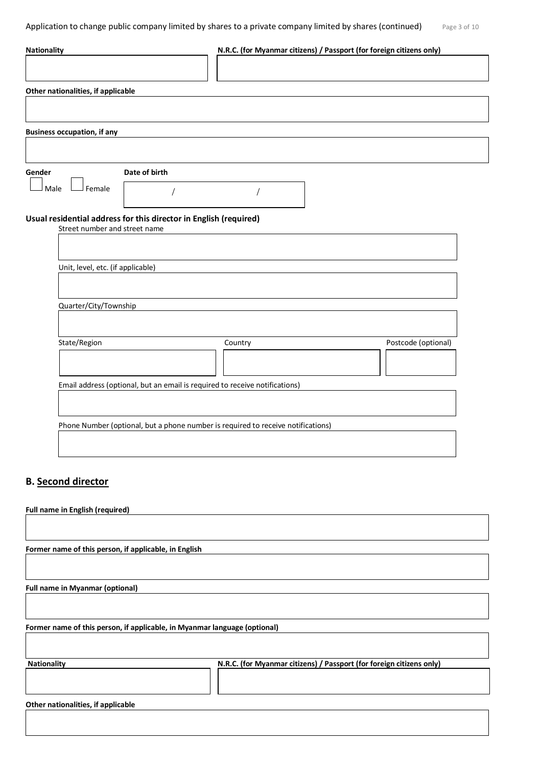| <b>Nationality</b>                                                               | N.R.C. (for Myanmar citizens) / Passport (for foreign citizens only) |                     |
|----------------------------------------------------------------------------------|----------------------------------------------------------------------|---------------------|
|                                                                                  |                                                                      |                     |
| Other nationalities, if applicable                                               |                                                                      |                     |
|                                                                                  |                                                                      |                     |
| <b>Business occupation, if any</b>                                               |                                                                      |                     |
|                                                                                  |                                                                      |                     |
| Date of birth<br>Gender                                                          |                                                                      |                     |
| Female<br>Male                                                                   |                                                                      |                     |
| Usual residential address for this director in English (required)                |                                                                      |                     |
| Street number and street name                                                    |                                                                      |                     |
|                                                                                  |                                                                      |                     |
| Unit, level, etc. (if applicable)                                                |                                                                      |                     |
|                                                                                  |                                                                      |                     |
| Quarter/City/Township                                                            |                                                                      |                     |
|                                                                                  |                                                                      |                     |
|                                                                                  |                                                                      |                     |
| State/Region                                                                     | Country                                                              | Postcode (optional) |
|                                                                                  |                                                                      |                     |
| Email address (optional, but an email is required to receive notifications)      |                                                                      |                     |
|                                                                                  |                                                                      |                     |
|                                                                                  |                                                                      |                     |
| Phone Number (optional, but a phone number is required to receive notifications) |                                                                      |                     |
|                                                                                  |                                                                      |                     |

## **B. Second director**

**Full name in English (required)**

**Former name of this person, if applicable, in English** 

**Full name in Myanmar (optional)**

**Former name of this person, if applicable, in Myanmar language (optional)**

Nationality **N.R.C. (for Myanmar citizens)** / Passport (for foreign citizens only)

**Other nationalities, if applicable**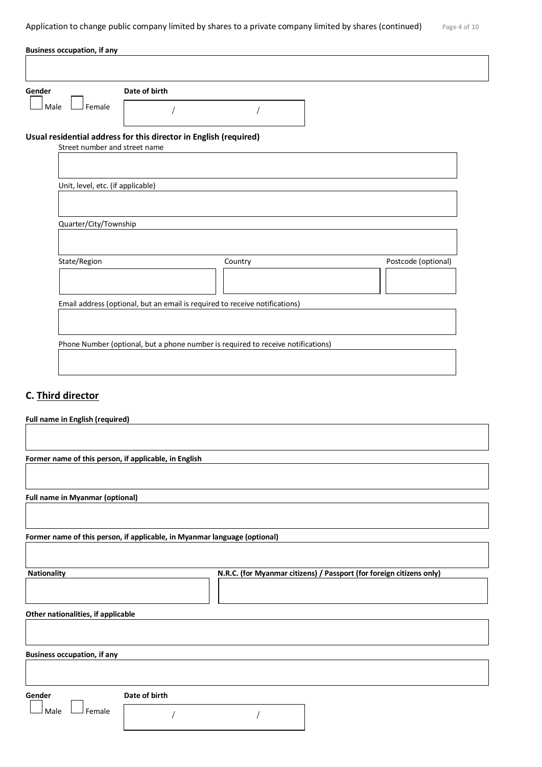Application to change public company limited by shares to a private company limited by shares (continued)  $P_{\text{age 4 of 10}}$ 

| Gender                            |                                                                                                    |                                                                             |                     |
|-----------------------------------|----------------------------------------------------------------------------------------------------|-----------------------------------------------------------------------------|---------------------|
|                                   | Date of birth                                                                                      |                                                                             |                     |
| Female<br>Male                    |                                                                                                    |                                                                             |                     |
|                                   | Usual residential address for this director in English (required)<br>Street number and street name |                                                                             |                     |
|                                   |                                                                                                    |                                                                             |                     |
|                                   |                                                                                                    |                                                                             |                     |
| Unit, level, etc. (if applicable) |                                                                                                    |                                                                             |                     |
|                                   |                                                                                                    |                                                                             |                     |
|                                   |                                                                                                    |                                                                             |                     |
|                                   |                                                                                                    |                                                                             |                     |
|                                   |                                                                                                    |                                                                             |                     |
| Quarter/City/Township             |                                                                                                    |                                                                             |                     |
|                                   |                                                                                                    |                                                                             |                     |
| State/Region                      |                                                                                                    | Country                                                                     | Postcode (optional) |
|                                   |                                                                                                    |                                                                             |                     |
|                                   |                                                                                                    |                                                                             |                     |
|                                   |                                                                                                    |                                                                             |                     |
|                                   |                                                                                                    | Email address (optional, but an email is required to receive notifications) |                     |
|                                   |                                                                                                    |                                                                             |                     |

# **C. Third director**

| <b>Full name in English (required)</b>                |                                                                           |
|-------------------------------------------------------|---------------------------------------------------------------------------|
|                                                       |                                                                           |
|                                                       |                                                                           |
| Former name of this person, if applicable, in English |                                                                           |
|                                                       |                                                                           |
|                                                       |                                                                           |
|                                                       |                                                                           |
| <b>Full name in Myanmar (optional)</b>                |                                                                           |
|                                                       |                                                                           |
|                                                       |                                                                           |
|                                                       | Former name of this person, if applicable, in Myanmar language (optional) |
|                                                       |                                                                           |
|                                                       |                                                                           |
| <b>Nationality</b>                                    | N.R.C. (for Myanmar citizens) / Passport (for foreign citizens only)      |
|                                                       |                                                                           |
|                                                       |                                                                           |
|                                                       |                                                                           |
| Other nationalities, if applicable                    |                                                                           |
|                                                       |                                                                           |
|                                                       |                                                                           |
| <b>Business occupation, if any</b>                    |                                                                           |
|                                                       |                                                                           |
|                                                       |                                                                           |
|                                                       |                                                                           |
| Gender                                                | Date of birth                                                             |
| Female<br>Male                                        |                                                                           |
|                                                       |                                                                           |
|                                                       |                                                                           |
|                                                       |                                                                           |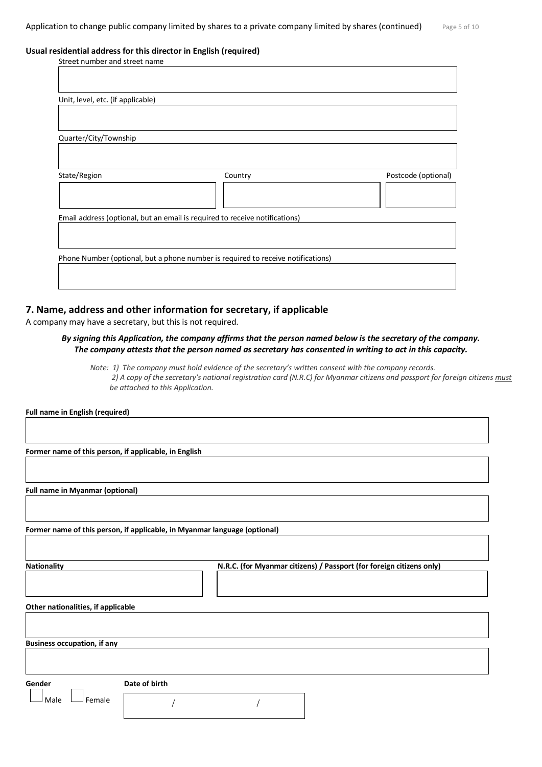#### **Usual residential address for this director in English (required)**

| Street number and street name                                               |                                                                                  |                     |
|-----------------------------------------------------------------------------|----------------------------------------------------------------------------------|---------------------|
|                                                                             |                                                                                  |                     |
|                                                                             |                                                                                  |                     |
| Unit, level, etc. (if applicable)                                           |                                                                                  |                     |
|                                                                             |                                                                                  |                     |
|                                                                             |                                                                                  |                     |
| Quarter/City/Township                                                       |                                                                                  |                     |
|                                                                             |                                                                                  |                     |
|                                                                             |                                                                                  |                     |
| State/Region                                                                | Country                                                                          | Postcode (optional) |
|                                                                             |                                                                                  |                     |
|                                                                             |                                                                                  |                     |
| Email address (optional, but an email is required to receive notifications) |                                                                                  |                     |
|                                                                             |                                                                                  |                     |
|                                                                             |                                                                                  |                     |
|                                                                             | Phone Number (optional, but a phone number is required to receive notifications) |                     |
|                                                                             |                                                                                  |                     |
|                                                                             |                                                                                  |                     |
|                                                                             |                                                                                  |                     |

### **7. Name, address and other information for secretary, if applicable**

A company may have a secretary, but this is not required.

#### *By signing this Application, the company affirms that the person named below is the secretary of the company. The company attests that the person named as secretary has consented in writing to act in this capacity.*

*Note: 1) The company must hold evidence of the secretary's written consent with the company records. 2) A copy of the secretary's national registration card (N.R.C) for Myanmar citizens and passport for foreign citizens must be attached to this Application.* 

**Full name in English (required)**

**Former name of this person, if applicable, in English**

**Full name in Myanmar (optional)**

**Former name of this person, if applicable, in Myanmar language (optional)**

**Nationality N.R.C. (for Myanmar citizens) / Passport (for foreign citizens only)**

**Other nationalities, if applicable**

**Business occupation, if any**

**Gender Date of birth**

 $\Box$  Female

/ /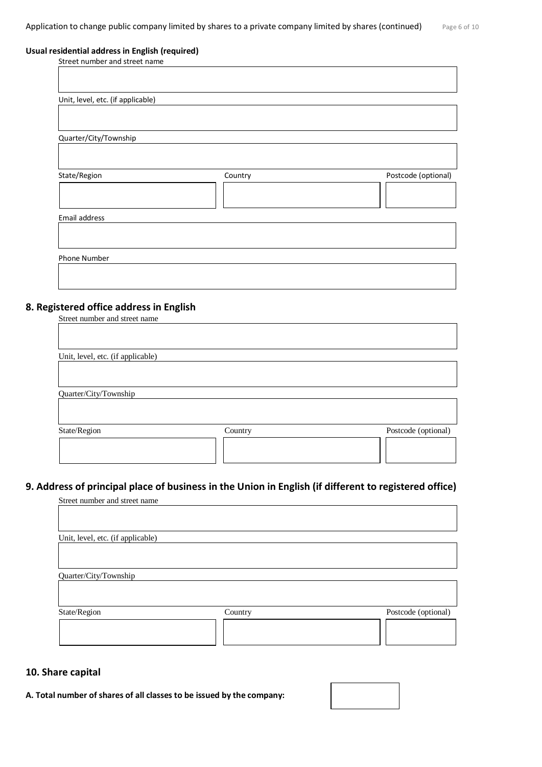#### **Usual residential address in English (required)**

| Street number and street name     |         |                     |
|-----------------------------------|---------|---------------------|
|                                   |         |                     |
|                                   |         |                     |
| Unit, level, etc. (if applicable) |         |                     |
|                                   |         |                     |
|                                   |         |                     |
| Quarter/City/Township             |         |                     |
|                                   |         |                     |
|                                   |         |                     |
| State/Region                      | Country | Postcode (optional) |
|                                   |         |                     |
|                                   |         |                     |
|                                   |         |                     |
| Email address                     |         |                     |
|                                   |         |                     |
|                                   |         |                     |
| Phone Number                      |         |                     |
|                                   |         |                     |

# **8. Registered office address in English**

| Street number and street name     |         |                     |
|-----------------------------------|---------|---------------------|
|                                   |         |                     |
|                                   |         |                     |
| Unit, level, etc. (if applicable) |         |                     |
|                                   |         |                     |
|                                   |         |                     |
|                                   |         |                     |
| Quarter/City/Township             |         |                     |
|                                   |         |                     |
|                                   |         |                     |
| State/Region                      | Country | Postcode (optional) |
|                                   |         |                     |
|                                   |         |                     |
|                                   |         |                     |

# **9. Address of principal place of business in the Union in English (if different to registered office)**

| Street number and street name     |         |                     |
|-----------------------------------|---------|---------------------|
|                                   |         |                     |
|                                   |         |                     |
| Unit, level, etc. (if applicable) |         |                     |
|                                   |         |                     |
|                                   |         |                     |
| Quarter/City/Township             |         |                     |
|                                   |         |                     |
|                                   |         |                     |
| State/Region                      | Country | Postcode (optional) |
|                                   |         |                     |
|                                   |         |                     |
|                                   |         |                     |

## **10. Share capital**

**A. Total number of shares of all classes to be issued by the company:**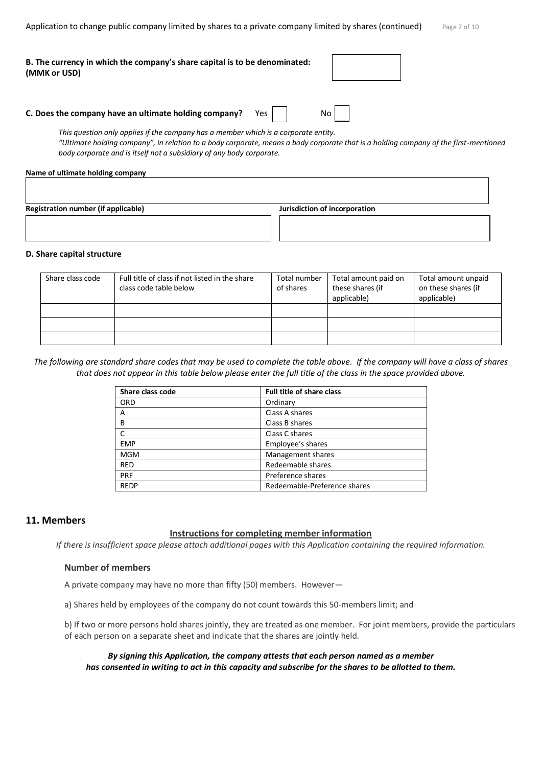Application to change public company limited by shares to a private company limited by shares (continued)  $P_{\text{Bg}}e 7$  of 10

| B. The currency in which the company's share capital is to be denominated: |  |
|----------------------------------------------------------------------------|--|
| (MMK or USD)                                                               |  |

#### **C. Does the company have an ultimate holding company?** Yes | | No

*This question only applies if the company has a member which is a corporate entity. "Ultimate holding company", in relation to a body corporate, means a body corporate that is a holding company of the first-mentioned body corporate and is itself not a subsidiary of any body corporate.*

#### **Name of ultimate holding company**

**Registration number (if applicable) Jurisdiction of incorporation**

#### **D. Share capital structure**

| Share class code | Full title of class if not listed in the share<br>class code table below | Total number<br>of shares | Total amount paid on<br>these shares (if<br>applicable) | Total amount unpaid<br>on these shares (if<br>applicable) |
|------------------|--------------------------------------------------------------------------|---------------------------|---------------------------------------------------------|-----------------------------------------------------------|
|                  |                                                                          |                           |                                                         |                                                           |
|                  |                                                                          |                           |                                                         |                                                           |
|                  |                                                                          |                           |                                                         |                                                           |

*The following are standard share codes that may be used to complete the table above. If the company will have a class of shares that does not appear in this table below please enter the full title of the class in the space provided above.*

| Share class code | <b>Full title of share class</b> |
|------------------|----------------------------------|
| <b>ORD</b>       | Ordinary                         |
| A                | Class A shares                   |
| B                | Class B shares                   |
|                  | Class C shares                   |
| <b>EMP</b>       | Employee's shares                |
| <b>MGM</b>       | Management shares                |
| <b>RED</b>       | Redeemable shares                |
| <b>PRF</b>       | Preference shares                |
| <b>REDP</b>      | Redeemable-Preference shares     |

## **11. Members**

#### **Instructions for completing member information**

*If there is insufficient space please attach additional pages with this Application containing the required information.*

#### **Number of members**

A private company may have no more than fifty (50) members. However—

a) Shares held by employees of the company do not count towards this 50-members limit; and

b) If two or more persons hold shares jointly, they are treated as one member. For joint members, provide the particulars of each person on a separate sheet and indicate that the shares are jointly held.

*By signing this Application, the company attests that each person named as a member has consented in writing to act in this capacity and subscribe for the shares to be allotted to them.*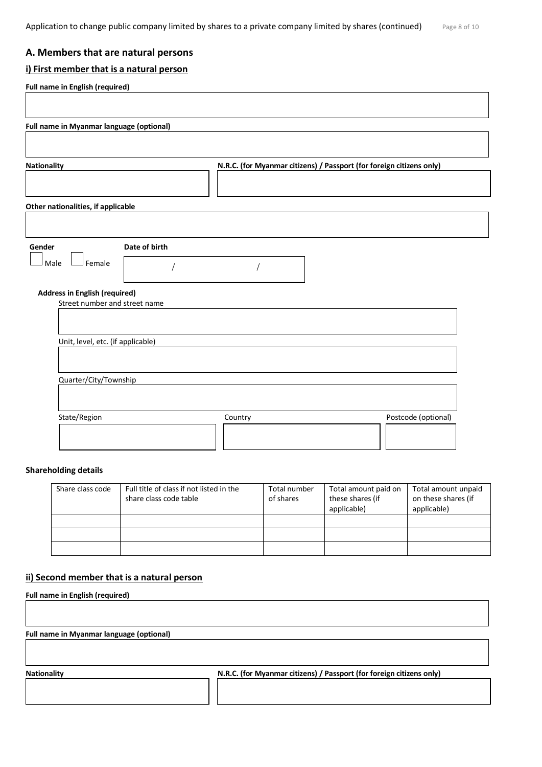# **A. Members that are natural persons**

## **i) First member that is a natural person**

| <b>Nationality</b>                                                    | N.R.C. (for Myanmar citizens) / Passport (for foreign citizens only) |
|-----------------------------------------------------------------------|----------------------------------------------------------------------|
| Other nationalities, if applicable                                    |                                                                      |
|                                                                       |                                                                      |
| Date of birth<br>Gender                                               |                                                                      |
| $\mathsf{\mathsf{I}}$ Female<br>Male                                  |                                                                      |
| <b>Address in English (required)</b><br>Street number and street name |                                                                      |
|                                                                       |                                                                      |
| Unit, level, etc. (if applicable)                                     |                                                                      |
|                                                                       |                                                                      |
| Quarter/City/Township                                                 |                                                                      |

#### **Shareholding details**

| Share class code | Full title of class if not listed in the<br>share class code table | Total number<br>of shares | Total amount paid on<br>these shares (if<br>applicable) | Total amount unpaid<br>on these shares (if<br>applicable) |
|------------------|--------------------------------------------------------------------|---------------------------|---------------------------------------------------------|-----------------------------------------------------------|
|                  |                                                                    |                           |                                                         |                                                           |
|                  |                                                                    |                           |                                                         |                                                           |
|                  |                                                                    |                           |                                                         |                                                           |

### **ii) Second member that is a natural person**

**Full name in English (required)**

**Full name in Myanmar language (optional)**

**Nationality N.R.C. (for Myanmar citizens) / Passport (for foreign citizens only)**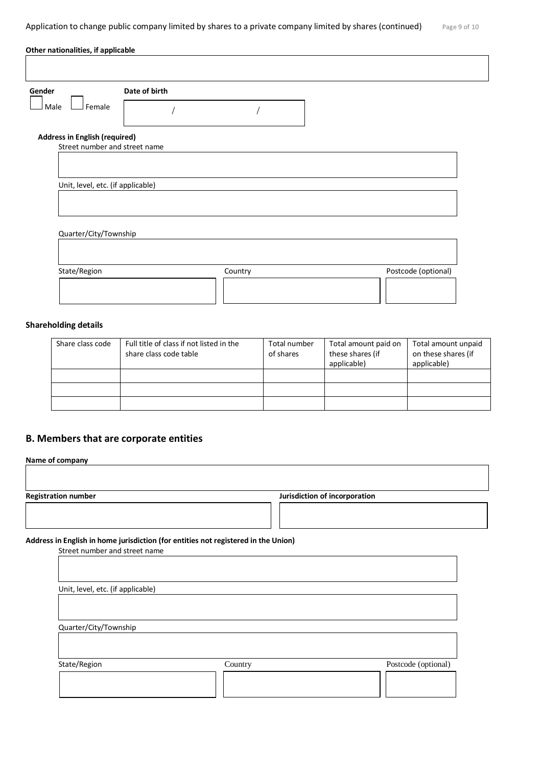| Gender                               | Date of birth |         |  |                     |
|--------------------------------------|---------------|---------|--|---------------------|
| Female<br>Male                       |               |         |  |                     |
| <b>Address in English (required)</b> |               |         |  |                     |
| Street number and street name        |               |         |  |                     |
|                                      |               |         |  |                     |
| Unit, level, etc. (if applicable)    |               |         |  |                     |
|                                      |               |         |  |                     |
|                                      |               |         |  |                     |
| Quarter/City/Township                |               |         |  |                     |
|                                      |               |         |  |                     |
|                                      |               |         |  |                     |
| State/Region                         |               | Country |  | Postcode (optional) |
|                                      |               |         |  |                     |
|                                      |               |         |  |                     |

## **Shareholding details**

| Share class code | Full title of class if not listed in the<br>share class code table | Total number<br>of shares | Total amount paid on<br>these shares (if<br>applicable) | Total amount unpaid<br>on these shares (if<br>applicable) |
|------------------|--------------------------------------------------------------------|---------------------------|---------------------------------------------------------|-----------------------------------------------------------|
|                  |                                                                    |                           |                                                         |                                                           |
|                  |                                                                    |                           |                                                         |                                                           |
|                  |                                                                    |                           |                                                         |                                                           |

# **B. Members that are corporate entities**

| <b>Registration number</b>        |                                                                                    | Jurisdiction of incorporation |
|-----------------------------------|------------------------------------------------------------------------------------|-------------------------------|
|                                   |                                                                                    |                               |
|                                   |                                                                                    |                               |
| Street number and street name     | Address in English in home jurisdiction (for entities not registered in the Union) |                               |
|                                   |                                                                                    |                               |
|                                   |                                                                                    |                               |
| Unit, level, etc. (if applicable) |                                                                                    |                               |
|                                   |                                                                                    |                               |
|                                   |                                                                                    |                               |
| Quarter/City/Township             |                                                                                    |                               |
|                                   |                                                                                    |                               |
|                                   |                                                                                    |                               |
| State/Region                      | Country                                                                            | Postcode (optional)           |
|                                   |                                                                                    |                               |